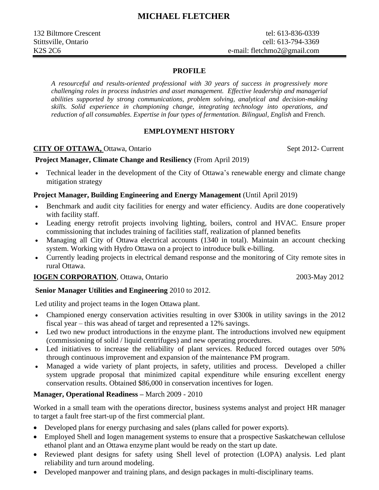#### **PROFILE**

*A resourceful and results-oriented professional with 30 years of success in progressively more challenging roles in process industries and asset management. Effective leadership and managerial abilities supported by strong communications, problem solving, analytical and decision-making skills. Solid experience in championing change, integrating technology into operations, and reduction of all consumables. Expertise in four types of fermentation. Bilingual, English* and French.

### **EMPLOYMENT HISTORY**

### **CITY OF OTTAWA, Ottawa, Ontario Sept 2012- Current**

#### **Project Manager, Climate Change and Resiliency** (From April 2019)

• Technical leader in the development of the City of Ottawa's renewable energy and climate change mitigation strategy

### **Project Manager, Building Engineering and Energy Management** (Until April 2019)

- Benchmark and audit city facilities for energy and water efficiency. Audits are done cooperatively with facility staff.
- Leading energy retrofit projects involving lighting, boilers, control and HVAC. Ensure proper commissioning that includes training of facilities staff, realization of planned benefits
- Managing all City of Ottawa electrical accounts (1340 in total). Maintain an account checking system. Working with Hydro Ottawa on a project to introduce bulk e-billing.
- Currently leading projects in electrical demand response and the monitoring of City remote sites in rural Ottawa.

#### **IOGEN CORPORATION**, Ottawa, Ontario 2003-May 2012

#### **Senior Manager Utilities and Engineering** 2010 to 2012.

Led utility and project teams in the Iogen Ottawa plant.

- Championed energy conservation activities resulting in over \$300k in utility savings in the 2012 fiscal year – this was ahead of target and represented a 12% savings.
- Led two new product introductions in the enzyme plant. The introductions involved new equipment (commissioning of solid / liquid centrifuges) and new operating procedures.
- Led initiatives to increase the reliability of plant services. Reduced forced outages over 50% through continuous improvement and expansion of the maintenance PM program.
- Managed a wide variety of plant projects, in safety, utilities and process. Developed a chiller system upgrade proposal that minimized capital expenditure while ensuring excellent energy conservation results. Obtained \$86,000 in conservation incentives for Iogen.

#### **Manager, Operational Readiness –** March 2009 - 2010

Worked in a small team with the operations director, business systems analyst and project HR manager to target a fault free start-up of the first commercial plant.

- Developed plans for energy purchasing and sales (plans called for power exports).
- Employed Shell and Iogen management systems to ensure that a prospective Saskatchewan cellulose ethanol plant and an Ottawa enzyme plant would be ready on the start up date.
- Reviewed plant designs for safety using Shell level of protection (LOPA) analysis. Led plant reliability and turn around modeling.
- Developed manpower and training plans, and design packages in multi-disciplinary teams.